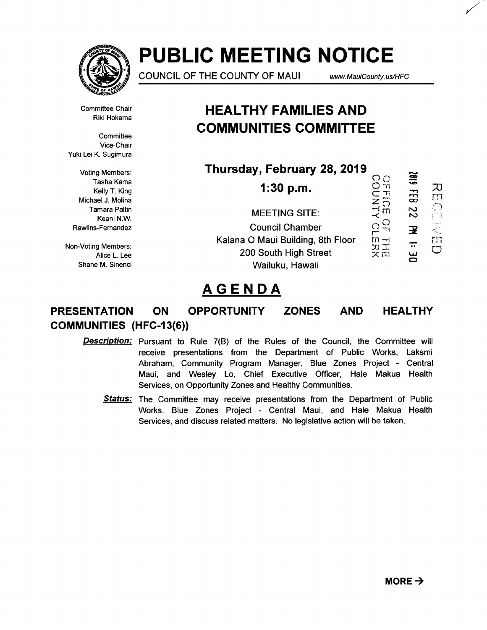

# **PUBLIC MEETING NOTICE**

COUNCIL OF THE COUNTY OF MAUl www. MauiCounty. us!HFC

Committee Chair Riki Hokama

**Committee** Vice-Chair Yuki Lei K. Sugimura

Voting Members: Tasha Kama Kelly T. King Michael J. Molina Tamara Paltin Keani N.W. Rawlins-Fernandez

Non-Voting Members: Alice L. Lee Shane M. Sinenci

# **HEAL THY FAMILIES AND COMMUNITIES COMMITTEE**

**Thursday, February 28, 2019** 

COPINTY<br>BOLINTY 2019 FEB 22 **1:30 p.m.**  MUCLEUM MEETING SITE:  $\frac{1}{n}$ OF THE<br>OUTERK  $\overline{\mathbf{z}}$ Council Chamber Kalana 0 Maui Building, 8th Floor  $\div$  $\bigcirc$ 200 South High Street  $\subset$ Wailuku, Hawaii

# **AGENDA**

# **PRESENTATION ON OPPORTUNITY ZONES AND HEALTHY COMMUNITIES (HFC-13(6))**

- Description: Pursuant to Rule 7(B) of the Rules of the Council, the Committee will receive presentations from the Department of Public Works, Laksmi Abraham, Community Program Manager, Blue Zones Project - Central Maui, and Wesley Lo, Chief Executive Officer, Hale Makua Health Services, on Opportunity Zones and Healthy Communities.
	- **Status:** The Committee may receive presentations from the Department of Public Works, Blue Zones Project - Central Maui, and Hale Makua Health Services, and discuss related matters. No legislative action will be taken.